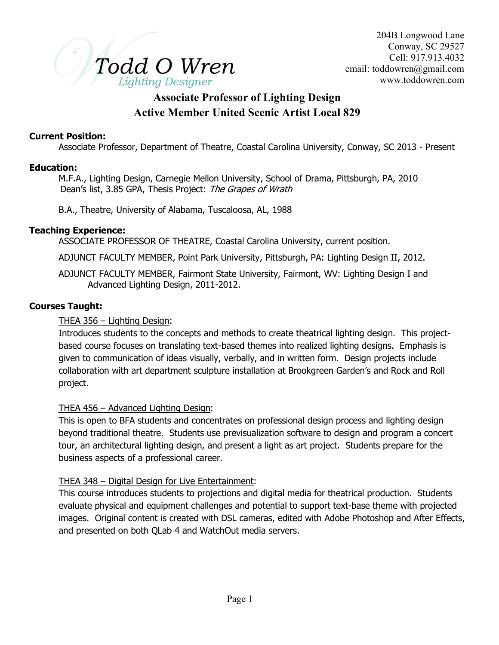

# Associate Professor of Lighting Design Active Member United Scenic Artist Local 829

### Current Position:

Associate Professor, Department of Theatre, Coastal Carolina University, Conway, SC 2013 - Present

#### Education:

 M.F.A., Lighting Design, Carnegie Mellon University, School of Drama, Pittsburgh, PA, 2010 Dean's list, 3.85 GPA, Thesis Project: The Grapes of Wrath

B.A., Theatre, University of Alabama, Tuscaloosa, AL, 1988

#### Teaching Experience:

ASSOCIATE PROFESSOR OF THEATRE, Coastal Carolina University, current position.

ADJUNCT FACULTY MEMBER, Point Park University, Pittsburgh, PA: Lighting Design II, 2012.

 ADJUNCT FACULTY MEMBER, Fairmont State University, Fairmont, WV: Lighting Design I and Advanced Lighting Design, 2011-2012.

### Courses Taught:

### THEA 356 – Lighting Design:

Introduces students to the concepts and methods to create theatrical lighting design. This projectbased course focuses on translating text-based themes into realized lighting designs. Emphasis is given to communication of ideas visually, verbally, and in written form. Design projects include collaboration with art department sculpture installation at Brookgreen Garden's and Rock and Roll project.

### THEA 456 – Advanced Lighting Design:

This is open to BFA students and concentrates on professional design process and lighting design beyond traditional theatre. Students use previsualization software to design and program a concert tour, an architectural lighting design, and present a light as art project. Students prepare for the business aspects of a professional career.

### THEA 348 – Digital Design for Live Entertainment:

This course introduces students to projections and digital media for theatrical production. Students evaluate physical and equipment challenges and potential to support text-base theme with projected images. Original content is created with DSL cameras, edited with Adobe Photoshop and After Effects, and presented on both QLab 4 and WatchOut media servers.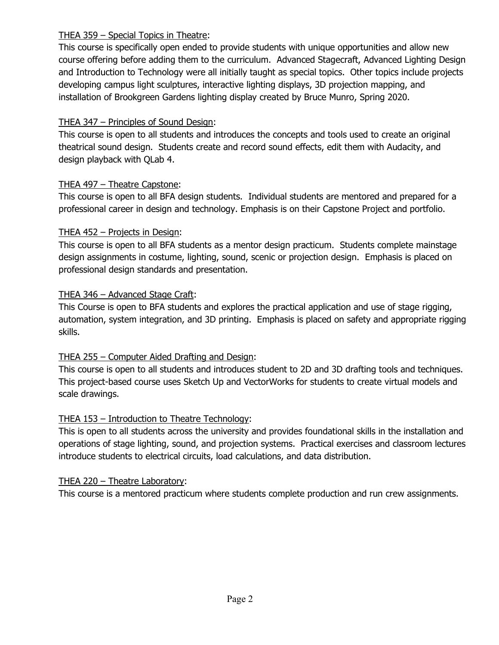## THEA 359 – Special Topics in Theatre:

This course is specifically open ended to provide students with unique opportunities and allow new course offering before adding them to the curriculum. Advanced Stagecraft, Advanced Lighting Design and Introduction to Technology were all initially taught as special topics. Other topics include projects developing campus light sculptures, interactive lighting displays, 3D projection mapping, and installation of Brookgreen Gardens lighting display created by Bruce Munro, Spring 2020.

## THEA 347 – Principles of Sound Design:

This course is open to all students and introduces the concepts and tools used to create an original theatrical sound design. Students create and record sound effects, edit them with Audacity, and design playback with QLab 4.

# THEA 497 – Theatre Capstone:

This course is open to all BFA design students. Individual students are mentored and prepared for a professional career in design and technology. Emphasis is on their Capstone Project and portfolio.

## THEA 452 – Projects in Design:

This course is open to all BFA students as a mentor design practicum. Students complete mainstage design assignments in costume, lighting, sound, scenic or projection design. Emphasis is placed on professional design standards and presentation.

## THEA 346 – Advanced Stage Craft:

This Course is open to BFA students and explores the practical application and use of stage rigging, automation, system integration, and 3D printing. Emphasis is placed on safety and appropriate rigging skills.

# THEA 255 – Computer Aided Drafting and Design:

This course is open to all students and introduces student to 2D and 3D drafting tools and techniques. This project-based course uses Sketch Up and VectorWorks for students to create virtual models and scale drawings.

## THEA 153 – Introduction to Theatre Technology:

This is open to all students across the university and provides foundational skills in the installation and operations of stage lighting, sound, and projection systems. Practical exercises and classroom lectures introduce students to electrical circuits, load calculations, and data distribution.

## THEA 220 – Theatre Laboratory:

This course is a mentored practicum where students complete production and run crew assignments.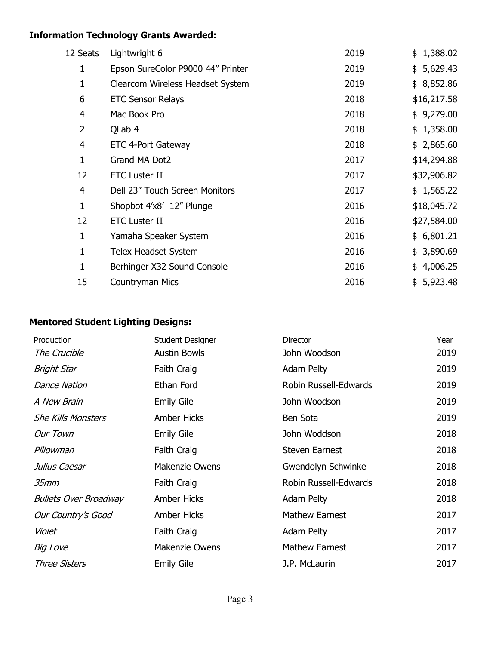# Information Technology Grants Awarded:

| 12 Seats | Lightwright 6                     | 2019 | \$1,388.02  |
|----------|-----------------------------------|------|-------------|
| 1        | Epson SureColor P9000 44" Printer | 2019 | \$5,629.43  |
| 1        | Clearcom Wireless Headset System  | 2019 | \$8,852.86  |
| 6        | <b>ETC Sensor Relays</b>          | 2018 | \$16,217.58 |
| 4        | Mac Book Pro                      | 2018 | \$9,279.00  |
| 2        | QLab 4                            | 2018 | \$1,358.00  |
| 4        | ETC 4-Port Gateway                | 2018 | \$2,865.60  |
| 1        | Grand MA Dot2                     | 2017 | \$14,294.88 |
| 12       | <b>ETC Luster II</b>              | 2017 | \$32,906.82 |
| 4        | Dell 23" Touch Screen Monitors    | 2017 | \$1,565.22  |
| 1        | Shopbot 4'x8' 12" Plunge          | 2016 | \$18,045.72 |
| 12       | <b>ETC Luster II</b>              | 2016 | \$27,584.00 |
| 1        | Yamaha Speaker System             | 2016 | \$6,801.21  |
| 1        | Telex Headset System              | 2016 | \$3,890.69  |
| 1        | Berhinger X32 Sound Console       | 2016 | \$4,006.25  |
| 15       | Countryman Mics                   | 2016 | \$5,923.48  |

# Mentored Student Lighting Designs:

| Production                   | <b>Student Designer</b> | Director              | <u>Year</u> |
|------------------------------|-------------------------|-----------------------|-------------|
| The Crucible                 | <b>Austin Bowls</b>     | John Woodson          | 2019        |
| Bright Star                  | Faith Craig             | Adam Pelty            | 2019        |
| <b>Dance Nation</b>          | <b>Ethan Ford</b>       | Robin Russell-Edwards | 2019        |
| A New Brain                  | <b>Emily Gile</b>       | John Woodson          | 2019        |
| <b>She Kills Monsters</b>    | <b>Amber Hicks</b>      | Ben Sota              | 2019        |
| Our Town                     | <b>Emily Gile</b>       | John Woddson          | 2018        |
| Pillowman                    | Faith Craig             | <b>Steven Earnest</b> | 2018        |
| Julius Caesar                | <b>Makenzie Owens</b>   | Gwendolyn Schwinke    | 2018        |
| 35mm                         | Faith Craig             | Robin Russell-Edwards | 2018        |
| <b>Bullets Over Broadway</b> | <b>Amber Hicks</b>      | <b>Adam Pelty</b>     | 2018        |
| Our Country's Good           | <b>Amber Hicks</b>      | <b>Mathew Earnest</b> | 2017        |
| Violet                       | Faith Craig             | Adam Pelty            | 2017        |
| Big Love                     | <b>Makenzie Owens</b>   | <b>Mathew Earnest</b> | 2017        |
| <b>Three Sisters</b>         | <b>Emily Gile</b>       | J.P. McLaurin         | 2017        |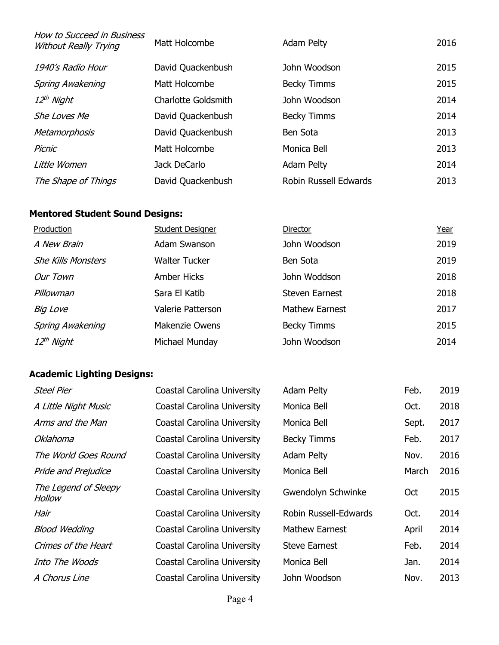| How to Succeed in Business<br><b>Without Really Trying</b> | Matt Holcombe              | Adam Pelty            | 2016 |
|------------------------------------------------------------|----------------------------|-----------------------|------|
| 1940's Radio Hour                                          | David Quackenbush          | John Woodson          | 2015 |
| <b>Spring Awakening</b>                                    | Matt Holcombe              | <b>Becky Timms</b>    | 2015 |
| 12 <sup>th</sup> Night                                     | <b>Charlotte Goldsmith</b> | John Woodson          | 2014 |
| She Loves Me                                               | David Quackenbush          | <b>Becky Timms</b>    | 2014 |
| Metamorphosis                                              | David Quackenbush          | Ben Sota              | 2013 |
| Picnic                                                     | Matt Holcombe              | Monica Bell           | 2013 |
| Little Women                                               | Jack DeCarlo               | Adam Pelty            | 2014 |
| The Shape of Things                                        | David Quackenbush          | Robin Russell Edwards | 2013 |

# Mentored Student Sound Designs:

| Production                | <b>Student Designer</b> | Director              | <u>Year</u> |
|---------------------------|-------------------------|-----------------------|-------------|
| A New Brain               | Adam Swanson            | John Woodson          | 2019        |
| <b>She Kills Monsters</b> | <b>Walter Tucker</b>    | Ben Sota              | 2019        |
| Our Town                  | <b>Amber Hicks</b>      | John Woddson          | 2018        |
| Pillowman                 | Sara El Katib           | <b>Steven Earnest</b> | 2018        |
| Big Love                  | Valerie Patterson       | <b>Mathew Earnest</b> | 2017        |
| <b>Spring Awakening</b>   | <b>Makenzie Owens</b>   | <b>Becky Timms</b>    | 2015        |
| 12 <sup>th</sup> Night    | Michael Munday          | John Woodson          | 2014        |

# Academic Lighting Designs:

| <b>Steel Pier</b>              | Coastal Carolina University        | <b>Adam Pelty</b>     | Feb.  | 2019 |
|--------------------------------|------------------------------------|-----------------------|-------|------|
| A Little Night Music           | Coastal Carolina University        | Monica Bell           | Oct.  | 2018 |
| Arms and the Man               | Coastal Carolina University        | Monica Bell           | Sept. | 2017 |
| Oklahoma                       | Coastal Carolina University        | <b>Becky Timms</b>    | Feb.  | 2017 |
| The World Goes Round           | Coastal Carolina University        | Adam Pelty            | Nov.  | 2016 |
| <b>Pride and Prejudice</b>     | Coastal Carolina University        | Monica Bell           | March | 2016 |
| The Legend of Sleepy<br>Hollow | <b>Coastal Carolina University</b> | Gwendolyn Schwinke    | Oct   | 2015 |
| Hair                           | Coastal Carolina University        | Robin Russell-Edwards | Oct.  | 2014 |
| <b>Blood Wedding</b>           | Coastal Carolina University        | <b>Mathew Earnest</b> | April | 2014 |
| Crimes of the Heart            | Coastal Carolina University        | <b>Steve Earnest</b>  | Feb.  | 2014 |
| Into The Woods                 | Coastal Carolina University        | Monica Bell           | Jan.  | 2014 |
| A Chorus Line                  | Coastal Carolina University        | John Woodson          | Nov.  | 2013 |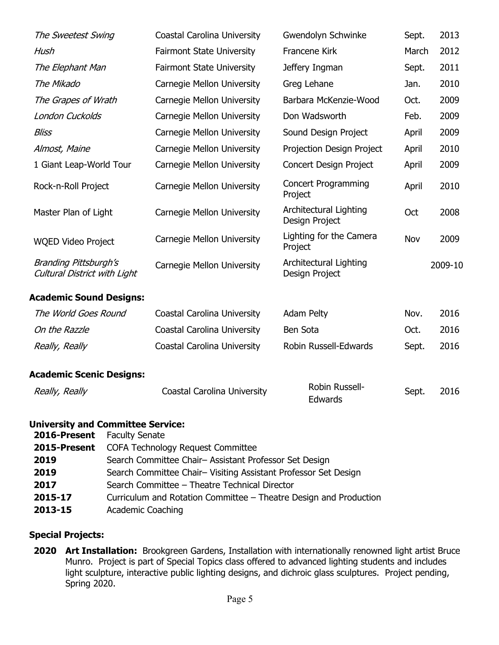| The Sweetest Swing                                           | Coastal Carolina University        | Gwendolyn Schwinke                       | Sept. | 2013    |
|--------------------------------------------------------------|------------------------------------|------------------------------------------|-------|---------|
| Hush                                                         | <b>Fairmont State University</b>   | Francene Kirk                            | March | 2012    |
| The Elephant Man                                             | <b>Fairmont State University</b>   | Jeffery Ingman                           | Sept. | 2011    |
| The Mikado                                                   | Carnegie Mellon University         | Greg Lehane                              | Jan.  | 2010    |
| The Grapes of Wrath                                          | Carnegie Mellon University         | Barbara McKenzie-Wood                    | Oct.  | 2009    |
| London Cuckolds                                              | Carnegie Mellon University         | Don Wadsworth                            | Feb.  | 2009    |
| <b>Bliss</b>                                                 | Carnegie Mellon University         | Sound Design Project                     | April | 2009    |
| Almost, Maine                                                | Carnegie Mellon University         | Projection Design Project                | April | 2010    |
| 1 Giant Leap-World Tour                                      | Carnegie Mellon University         | <b>Concert Design Project</b>            | April | 2009    |
| Rock-n-Roll Project                                          | Carnegie Mellon University         | <b>Concert Programming</b><br>Project    | April | 2010    |
| Master Plan of Light                                         | Carnegie Mellon University         | Architectural Lighting<br>Design Project | Oct   | 2008    |
| <b>WQED Video Project</b>                                    | Carnegie Mellon University         | Lighting for the Camera<br>Project       | Nov   | 2009    |
| <b>Branding Pittsburgh's</b><br>Cultural District with Light | <b>Carnegie Mellon University</b>  | Architectural Lighting<br>Design Project |       | 2009-10 |
| <b>Academic Sound Designs:</b>                               |                                    |                                          |       |         |
| The World Goes Round                                         | Coastal Carolina University        | Adam Pelty                               | Nov.  | 2016    |
| On the Razzle                                                | Coastal Carolina University        | Ben Sota                                 | Oct.  | 2016    |
| Really, Really                                               | Coastal Carolina University        | Robin Russell-Edwards                    | Sept. | 2016    |
| <b>Academic Scenic Designs:</b>                              |                                    |                                          |       |         |
| Really, Really                                               | <b>Coastal Carolina University</b> | Robin Russell-<br>Edwards                | Sept. | 2016    |

### University and Committee Service:

| <b>2016-Present</b> Faculty Senate |                                                                   |
|------------------------------------|-------------------------------------------------------------------|
| 2015-Present                       | <b>COFA Technology Request Committee</b>                          |
| 2019                               | Search Committee Chair- Assistant Professor Set Design            |
| 2019                               | Search Committee Chair- Visiting Assistant Professor Set Design   |
| 2017                               | Search Committee - Theatre Technical Director                     |
| 2015-17                            | Curriculum and Rotation Committee – Theatre Design and Production |
| 2013-15                            | <b>Academic Coaching</b>                                          |

# Special Projects:

2020 Art Installation: Brookgreen Gardens, Installation with internationally renowned light artist Bruce Munro. Project is part of Special Topics class offered to advanced lighting students and includes light sculpture, interactive public lighting designs, and dichroic glass sculptures. Project pending, Spring 2020.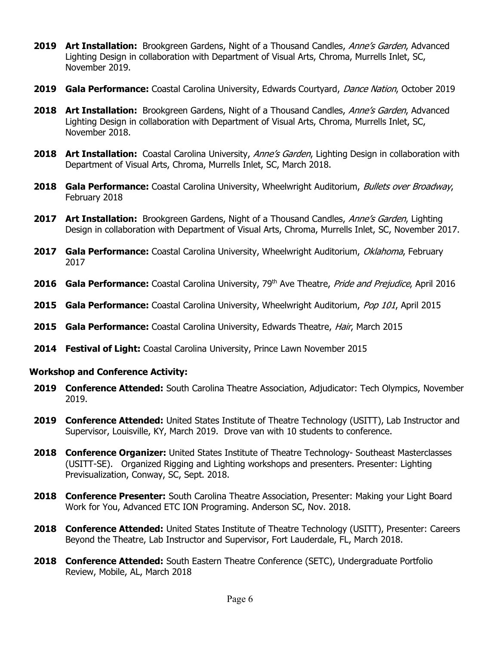- **2019 Art Installation:** Brookgreen Gardens, Night of a Thousand Candles, *Anne's Garden*, Advanced Lighting Design in collaboration with Department of Visual Arts, Chroma, Murrells Inlet, SC, November 2019.
- 2019 Gala Performance: Coastal Carolina University, Edwards Courtyard, Dance Nation, October 2019
- **2018 Art Installation:** Brookgreen Gardens, Night of a Thousand Candles, *Anne's Garden*, Advanced Lighting Design in collaboration with Department of Visual Arts, Chroma, Murrells Inlet, SC, November 2018.
- 2018 Art Installation: Coastal Carolina University, Anne's Garden, Lighting Design in collaboration with Department of Visual Arts, Chroma, Murrells Inlet, SC, March 2018.
- **2018 Gala Performance:** Coastal Carolina University, Wheelwright Auditorium, *Bullets over Broadway*, February 2018
- **2017 Art Installation:** Brookgreen Gardens, Night of a Thousand Candles, *Anne's Garden*, Lighting Design in collaboration with Department of Visual Arts, Chroma, Murrells Inlet, SC, November 2017.
- 2017 Gala Performance: Coastal Carolina University, Wheelwright Auditorium, Oklahoma, February 2017
- 2016 Gala Performance: Coastal Carolina University, 79<sup>th</sup> Ave Theatre, *Pride and Prejudice*, April 2016
- 2015 Gala Performance: Coastal Carolina University, Wheelwright Auditorium, Pop 101, April 2015
- 2015 Gala Performance: Coastal Carolina University, Edwards Theatre, *Hair*, March 2015
- 2014 Festival of Light: Coastal Carolina University, Prince Lawn November 2015

#### Workshop and Conference Activity:

- 2019 Conference Attended: South Carolina Theatre Association, Adjudicator: Tech Olympics, November 2019.
- 2019 Conference Attended: United States Institute of Theatre Technology (USITT), Lab Instructor and Supervisor, Louisville, KY, March 2019. Drove van with 10 students to conference.
- 2018 Conference Organizer: United States Institute of Theatre Technology- Southeast Masterclasses (USITT-SE). Organized Rigging and Lighting workshops and presenters. Presenter: Lighting Previsualization, Conway, SC, Sept. 2018.
- 2018 Conference Presenter: South Carolina Theatre Association, Presenter: Making your Light Board Work for You, Advanced ETC ION Programing. Anderson SC, Nov. 2018.
- 2018 Conference Attended: United States Institute of Theatre Technology (USITT), Presenter: Careers Beyond the Theatre, Lab Instructor and Supervisor, Fort Lauderdale, FL, March 2018.
- 2018 Conference Attended: South Eastern Theatre Conference (SETC), Undergraduate Portfolio Review, Mobile, AL, March 2018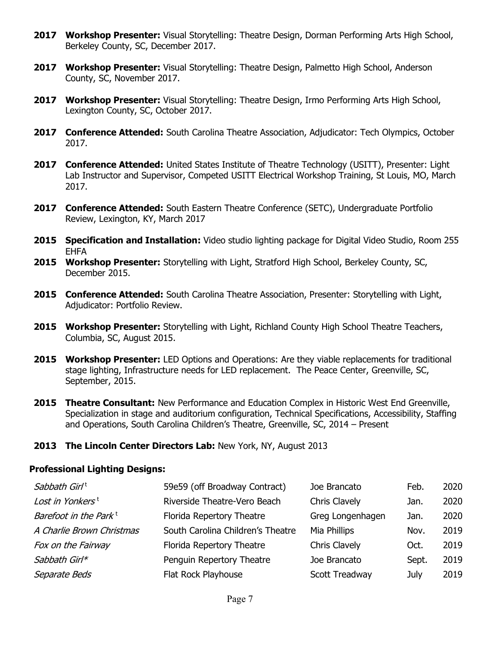- 2017 Workshop Presenter: Visual Storytelling: Theatre Design, Dorman Performing Arts High School, Berkeley County, SC, December 2017.
- 2017 Workshop Presenter: Visual Storytelling: Theatre Design, Palmetto High School, Anderson County, SC, November 2017.
- 2017 Workshop Presenter: Visual Storytelling: Theatre Design, Irmo Performing Arts High School, Lexington County, SC, October 2017.
- 2017 Conference Attended: South Carolina Theatre Association, Adjudicator: Tech Olympics, October 2017.
- 2017 Conference Attended: United States Institute of Theatre Technology (USITT), Presenter: Light Lab Instructor and Supervisor, Competed USITT Electrical Workshop Training, St Louis, MO, March 2017.
- 2017 Conference Attended: South Eastern Theatre Conference (SETC), Undergraduate Portfolio Review, Lexington, KY, March 2017
- **2015 Specification and Installation:** Video studio lighting package for Digital Video Studio, Room 255 EHFA
- 2015 Workshop Presenter: Storytelling with Light, Stratford High School, Berkeley County, SC, December 2015.
- 2015 Conference Attended: South Carolina Theatre Association, Presenter: Storytelling with Light, Adjudicator: Portfolio Review.
- 2015 Workshop Presenter: Storytelling with Light, Richland County High School Theatre Teachers, Columbia, SC, August 2015.
- **2015 Workshop Presenter:** LED Options and Operations: Are they viable replacements for traditional stage lighting, Infrastructure needs for LED replacement. The Peace Center, Greenville, SC, September, 2015.
- 2015 Theatre Consultant: New Performance and Education Complex in Historic West End Greenville, Specialization in stage and auditorium configuration, Technical Specifications, Accessibility, Staffing and Operations, South Carolina Children's Theatre, Greenville, SC, 2014 – Present
- 2013 The Lincoln Center Directors Lab: New York, NY, August 2013

#### Professional Lighting Designs:

| Sabbath Girl <sup>t</sup>         | 59e59 (off Broadway Contract)     | Joe Brancato         | Feb.  | 2020 |
|-----------------------------------|-----------------------------------|----------------------|-------|------|
| Lost in Yonkers <sup>t</sup>      | Riverside Theatre-Vero Beach      | Chris Clavely        | Jan.  | 2020 |
| Barefoot in the Park <sup>t</sup> | Florida Repertory Theatre         | Greg Longenhagen     | Jan.  | 2020 |
| A Charlie Brown Christmas         | South Carolina Children's Theatre | Mia Phillips         | Nov.  | 2019 |
| Fox on the Fairway                | Florida Repertory Theatre         | <b>Chris Clavely</b> | Oct.  | 2019 |
| Sabbath Girl*                     | Penguin Repertory Theatre         | Joe Brancato         | Sept. | 2019 |
| Separate Beds                     | Flat Rock Playhouse               | Scott Treadway       | July  | 2019 |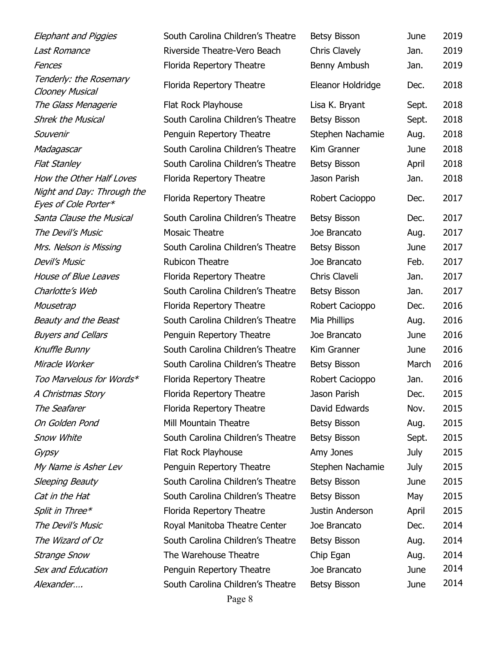| <b>Elephant and Piggies</b>                        | South Carolina Children's Theatre | Betsy Bisson        | June        | 2019 |
|----------------------------------------------------|-----------------------------------|---------------------|-------------|------|
| <b>Last Romance</b>                                | Riverside Theatre-Vero Beach      | Chris Clavely       | Jan.        | 2019 |
| Fences                                             | Florida Repertory Theatre         | Benny Ambush        | Jan.        | 2019 |
| Tenderly: the Rosemary<br><b>Clooney Musical</b>   | Florida Repertory Theatre         | Eleanor Holdridge   | Dec.        | 2018 |
| The Glass Menagerie                                | Flat Rock Playhouse               | Lisa K. Bryant      | Sept.       | 2018 |
| <b>Shrek the Musical</b>                           | South Carolina Children's Theatre | <b>Betsy Bisson</b> | Sept.       | 2018 |
| Souvenir                                           | Penguin Repertory Theatre         | Stephen Nachamie    | Aug.        | 2018 |
| Madagascar                                         | South Carolina Children's Theatre | Kim Granner         | June        | 2018 |
| <b>Flat Stanley</b>                                | South Carolina Children's Theatre | <b>Betsy Bisson</b> | April       | 2018 |
| How the Other Half Loves                           | Florida Repertory Theatre         | Jason Parish        | Jan.        | 2018 |
| Night and Day: Through the<br>Eyes of Cole Porter* | Florida Repertory Theatre         | Robert Cacioppo     | Dec.        | 2017 |
| Santa Clause the Musical                           | South Carolina Children's Theatre | <b>Betsy Bisson</b> | Dec.        | 2017 |
| The Devil's Music                                  | <b>Mosaic Theatre</b>             | Joe Brancato        | Aug.        | 2017 |
| Mrs. Nelson is Missing                             | South Carolina Children's Theatre | <b>Betsy Bisson</b> | June        | 2017 |
| <b>Devil's Music</b>                               | <b>Rubicon Theatre</b>            | Joe Brancato        | Feb.        | 2017 |
| House of Blue Leaves                               | Florida Repertory Theatre         | Chris Claveli       | Jan.        | 2017 |
| Charlotte's Web                                    | South Carolina Children's Theatre | <b>Betsy Bisson</b> | Jan.        | 2017 |
| Mousetrap                                          | Florida Repertory Theatre         | Robert Cacioppo     | Dec.        | 2016 |
| Beauty and the Beast                               | South Carolina Children's Theatre | Mia Phillips        | Aug.        | 2016 |
| <b>Buyers and Cellars</b>                          | Penguin Repertory Theatre         | Joe Brancato        | June        | 2016 |
| Knuffle Bunny                                      | South Carolina Children's Theatre | Kim Granner         | June        | 2016 |
| Miracle Worker                                     | South Carolina Children's Theatre | <b>Betsy Bisson</b> | March       | 2016 |
| Too Marvelous for Words*                           | Florida Repertory Theatre         | Robert Cacioppo     | Jan.        | 2016 |
| A Christmas Story                                  | Florida Repertory Theatre         | Jason Parish        | Dec.        | 2015 |
| The Seafarer                                       | Florida Repertory Theatre         | David Edwards       | Nov.        | 2015 |
| On Golden Pond                                     | Mill Mountain Theatre             | <b>Betsy Bisson</b> | Aug.        | 2015 |
| <b>Snow White</b>                                  | South Carolina Children's Theatre | <b>Betsy Bisson</b> | Sept.       | 2015 |
| Gypsy                                              | Flat Rock Playhouse               | Amy Jones           | <b>July</b> | 2015 |
| My Name is Asher Lev                               | Penguin Repertory Theatre         | Stephen Nachamie    | July        | 2015 |
| Sleeping Beauty                                    | South Carolina Children's Theatre | <b>Betsy Bisson</b> | June        | 2015 |
| Cat in the Hat                                     | South Carolina Children's Theatre | <b>Betsy Bisson</b> | May         | 2015 |
| Split in Three*                                    | Florida Repertory Theatre         | Justin Anderson     | April       | 2015 |
| The Devil's Music                                  | Royal Manitoba Theatre Center     | Joe Brancato        | Dec.        | 2014 |
| The Wizard of Oz                                   | South Carolina Children's Theatre | <b>Betsy Bisson</b> | Aug.        | 2014 |
| Strange Snow                                       | The Warehouse Theatre             | Chip Egan           | Aug.        | 2014 |
| Sex and Education                                  | Penguin Repertory Theatre         | Joe Brancato        | June        | 2014 |
| Alexander                                          | South Carolina Children's Theatre | Betsy Bisson        | June        | 2014 |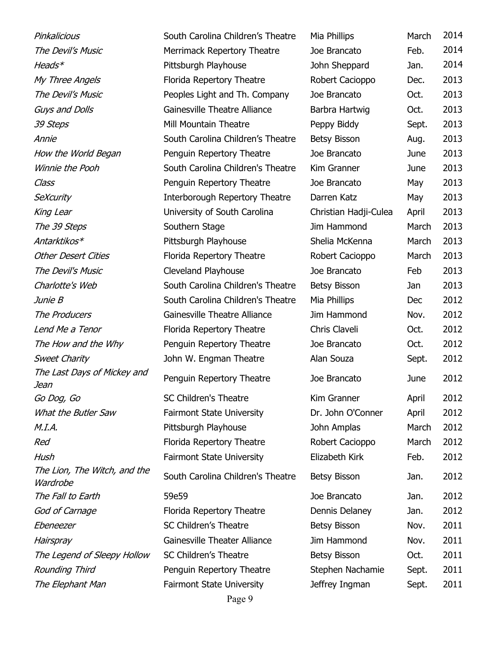39 Steps Mill Mountain Theatre Sweet Charity **Summan Source Source** John W. Engman Theatre The Last Days of Mickey and Jean The Lion, The Witch, and the **Wardrobe** 

Pinkalicious South Carolina Children's Theatre M The Devil's Music Merrimack Repertory Theatre Joe Brancato Brancato Brancato Brancato Brancato Brancato Branca Heads\* **Pittsburgh Playhouse** John Sheppard Jan. 2014 My Three Angels Florida Repertory Theatre The Devil's Music **Peoples Light and Th. Company** J Guys and Dolls Gainesville Theatre Alliance Annie Carolina Children's Theatre Bisson Bisson Carolina Children's Theatre How the World Began Penguin Repertory Theatre June 2014 Winnie the Pooh South Carolina Children's Theatre K Class Class **Penguin Repertory Theatre** J SeXcurity Interborough Repertory Theatre Darren C King Lear **Christian University of South Carolina** The 39 Steps Southern Stage Jim Hammond March 2013 Antarktikos\* Pittsburgh Playhouse Other Desert Cities Florida Repertory Theatre Robert Cacio The Devil's Music Cleveland Playhouse Joe Brancato Brancato Branca Charlotte's Web South Carolina Children's Theatre B *Junie B*  $\Box$  South Carolina Children's Theatre  $\Box$ The Producers The Producers Cainesville Theatre Alliance Lend Me a Tenor Florida Repertory Theatre C The How and the Why **Penguin Repertory Theatre** J Penguin Repertory Theatre Go Dog, Go SC Children's Theatre Kim Granner April 2012 What the Butler Saw Fairmont State University Dr. Dr. John O'Conner April 2012 M.I.A. **Pittsburgh Playhouse** John American American March 2012 Red **Florida Repertory Theatre** Robert Cacioppo Red Robert Cacioppo Robert Cacioppo Robert Cacioppo Robert Cacio Hush Fairmont State University Elizabeth Kirk Feb. 2012 South Carolina Children's Theatre B The Fall to Earth 59e59 Joe Brancato Jan. 2012 God of Carnage Florida Repertory Theatre Dennis Dennis Dennis Dennis Dennis Dennis Dennis Dennis Dennis Dennis D Ebeneezer SC Children's Theatre Betsware Bisson Bisson Bisson Nov. 2011 Hairspray Gainesville Theater Alliance J The Legend of Sleepy Hollow SC Children's Theatre Rounding Third **Penguin Repertory Theatre** Stephen Sept. 2011 The Elephant Man Fairmont State University June

| <b>Mia Phillips</b>   | March | 2014 |
|-----------------------|-------|------|
| loe Brancato          | Feb.  | 2014 |
| <b>John Sheppard</b>  | Jan.  | 2014 |
| Robert Cacioppo       | Dec.  | 2013 |
| loe Brancato          | Oct.  | 2013 |
| Barbra Hartwig        | Oct.  | 2013 |
| Peppy Biddy           | Sept. | 2013 |
| Betsy Bisson          | Aug.  | 2013 |
| loe Brancato          | June  | 2013 |
| <b>Kim Granner</b>    | June  | 2013 |
| loe Brancato          | May   | 2013 |
| Darren Katz           | May   | 2013 |
| Christian Hadji-Culea | April | 2013 |
| lim Hammond           | March | 2013 |
| Shelia McKenna        | March | 2013 |
| Robert Cacioppo       | March | 2013 |
| loe Brancato          | Feb   | 2013 |
| Betsy Bisson          | Jan   | 2013 |
| <b>Mia Phillips</b>   | Dec   | 2012 |
| im Hammond            | Nov.  | 2012 |
| Chris Claveli         | Oct.  | 2012 |
| loe Brancato          | Oct.  | 2012 |
| <b>Nan Souza</b>      | Sept. | 2012 |
| loe Brancato          | June  | 2012 |
| <b>Kim Granner</b>    | April | 2012 |
| Dr. John O'Conner     | April | 2012 |
| <b>John Amplas</b>    | March | 2012 |
| Robert Cacioppo       | March | 2012 |
| Elizabeth Kirk        | Feb.  | 2012 |
| Betsy Bisson          | Jan.  | 2012 |
| loe Brancato          | Jan.  | 2012 |
| Dennis Delaney        | Jan.  | 2012 |
| Betsy Bisson          | Nov.  | 2011 |
| im Hammond            | Nov.  | 2011 |
| Betsy Bisson          | Oct.  | 2011 |
| Stephen Nachamie      | Sept. | 2011 |
| effrey Ingman         | Sept. | 2011 |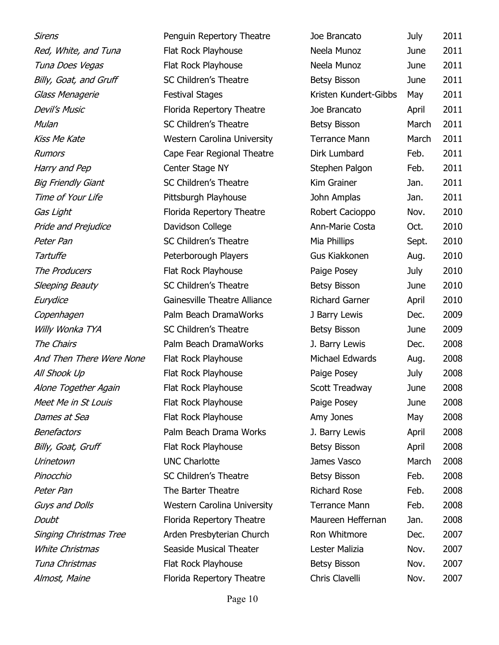| Sirens                        | Penguin Repertory Theatre          | Joe Brancato          | July  | 2011 |
|-------------------------------|------------------------------------|-----------------------|-------|------|
| Red, White, and Tuna          | Flat Rock Playhouse                | Neela Munoz           | June  | 2011 |
| Tuna Does Vegas               | Flat Rock Playhouse                | Neela Munoz           | June  | 2011 |
| Billy, Goat, and Gruff        | <b>SC Children's Theatre</b>       | <b>Betsy Bisson</b>   | June  | 2011 |
| Glass Menagerie               | <b>Festival Stages</b>             | Kristen Kundert-Gibbs | May   | 2011 |
| <b>Devil's Music</b>          | Florida Repertory Theatre          | Joe Brancato          | April | 2011 |
| Mulan                         | SC Children's Theatre              | Betsy Bisson          | March | 2011 |
| <b>Kiss Me Kate</b>           | <b>Western Carolina University</b> | <b>Terrance Mann</b>  | March | 2011 |
| <b>Rumors</b>                 | Cape Fear Regional Theatre         | Dirk Lumbard          | Feb.  | 2011 |
| Harry and Pep                 | Center Stage NY                    | Stephen Palgon        | Feb.  | 2011 |
| <b>Big Friendly Giant</b>     | SC Children's Theatre              | Kim Grainer           | Jan.  | 2011 |
| Time of Your Life             | Pittsburgh Playhouse               | John Amplas           | Jan.  | 2011 |
| Gas Light                     | Florida Repertory Theatre          | Robert Cacioppo       | Nov.  | 2010 |
| Pride and Prejudice           | Davidson College                   | Ann-Marie Costa       | Oct.  | 2010 |
| Peter Pan                     | SC Children's Theatre              | Mia Phillips          | Sept. | 2010 |
| Tartuffe                      | Peterborough Players               | Gus Kiakkonen         | Aug.  | 2010 |
| The Producers                 | Flat Rock Playhouse                | Paige Posey           | July  | 2010 |
| <b>Sleeping Beauty</b>        | <b>SC Children's Theatre</b>       | <b>Betsy Bisson</b>   | June  | 2010 |
| Eurydice                      | Gainesville Theatre Alliance       | <b>Richard Garner</b> | April | 2010 |
| Copenhagen                    | Palm Beach DramaWorks              | J Barry Lewis         | Dec.  | 2009 |
| Willy Wonka TYA               | SC Children's Theatre              | Betsy Bisson          | June  | 2009 |
| The Chairs                    | Palm Beach DramaWorks              | J. Barry Lewis        | Dec.  | 2008 |
| And Then There Were None      | Flat Rock Playhouse                | Michael Edwards       | Aug.  | 2008 |
| All Shook Up                  | Flat Rock Playhouse                | Paige Posey           | July  | 2008 |
| Alone Together Again          | Flat Rock Playhouse                | Scott Treadway        | June  | 2008 |
| Meet Me in St Louis           | Flat Rock Playhouse                | Paige Posey           | June  | 2008 |
| Dames at Sea                  | Flat Rock Playhouse                | Amy Jones             | May   | 2008 |
| Benefactors                   | Palm Beach Drama Works             | J. Barry Lewis        | April | 2008 |
| Billy, Goat, Gruff            | Flat Rock Playhouse                | <b>Betsy Bisson</b>   | April | 2008 |
| Urinetown                     | <b>UNC Charlotte</b>               | James Vasco           | March | 2008 |
| Pinocchio                     | SC Children's Theatre              | Betsy Bisson          | Feb.  | 2008 |
| Peter Pan                     | The Barter Theatre                 | <b>Richard Rose</b>   | Feb.  | 2008 |
| Guys and Dolls                | Western Carolina University        | <b>Terrance Mann</b>  | Feb.  | 2008 |
| Doubt                         | Florida Repertory Theatre          | Maureen Heffernan     | Jan.  | 2008 |
| <b>Singing Christmas Tree</b> | Arden Presbyterian Church          | Ron Whitmore          | Dec.  | 2007 |
| <b>White Christmas</b>        | Seaside Musical Theater            | Lester Malizia        | Nov.  | 2007 |
| Tuna Christmas                | Flat Rock Playhouse                | <b>Betsy Bisson</b>   | Nov.  | 2007 |
| Almost, Maine                 | Florida Repertory Theatre          | Chris Clavelli        | Nov.  | 2007 |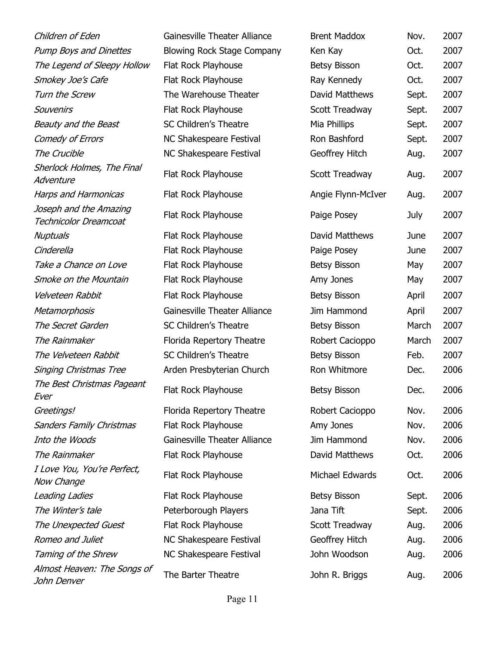| Children of Eden                                       | Gainesville Theater Alliance      | <b>Brent Maddox</b>   | Nov.  | 2007 |
|--------------------------------------------------------|-----------------------------------|-----------------------|-------|------|
| <b>Pump Boys and Dinettes</b>                          | <b>Blowing Rock Stage Company</b> | Ken Kay               | Oct.  | 2007 |
| The Legend of Sleepy Hollow                            | Flat Rock Playhouse               | <b>Betsy Bisson</b>   | Oct.  | 2007 |
| Smokey Joe's Cafe                                      | Flat Rock Playhouse               | Ray Kennedy           | Oct.  | 2007 |
| Turn the Screw                                         | The Warehouse Theater             | David Matthews        | Sept. | 2007 |
| Souvenirs                                              | Flat Rock Playhouse               | Scott Treadway        | Sept. | 2007 |
| Beauty and the Beast                                   | <b>SC Children's Theatre</b>      | Mia Phillips          | Sept. | 2007 |
| Comedy of Errors                                       | NC Shakespeare Festival           | Ron Bashford          | Sept. | 2007 |
| The Crucible                                           | NC Shakespeare Festival           | Geoffrey Hitch        | Aug.  | 2007 |
| Sherlock Holmes, The Final<br>Adventure                | Flat Rock Playhouse               | Scott Treadway        | Aug.  | 2007 |
| <b>Harps and Harmonicas</b>                            | Flat Rock Playhouse               | Angie Flynn-McIver    | Aug.  | 2007 |
| Joseph and the Amazing<br><b>Technicolor Dreamcoat</b> | Flat Rock Playhouse               | Paige Posey           | July  | 2007 |
| Nuptuals                                               | Flat Rock Playhouse               | <b>David Matthews</b> | June  | 2007 |
| Cinderella                                             | Flat Rock Playhouse               | Paige Posey           | June  | 2007 |
| Take a Chance on Love                                  | Flat Rock Playhouse               | <b>Betsy Bisson</b>   | May   | 2007 |
| <b>Smoke on the Mountain</b>                           | Flat Rock Playhouse               | Amy Jones             | May   | 2007 |
| Velveteen Rabbit                                       | Flat Rock Playhouse               | <b>Betsy Bisson</b>   | April | 2007 |
| Metamorphosis                                          | Gainesville Theater Alliance      | Jim Hammond           | April | 2007 |
| The Secret Garden                                      | <b>SC Children's Theatre</b>      | <b>Betsy Bisson</b>   | March | 2007 |
| The Rainmaker                                          | Florida Repertory Theatre         | Robert Cacioppo       | March | 2007 |
| The Velveteen Rabbit                                   | <b>SC Children's Theatre</b>      | <b>Betsy Bisson</b>   | Feb.  | 2007 |
| <b>Singing Christmas Tree</b>                          | Arden Presbyterian Church         | Ron Whitmore          | Dec.  | 2006 |
| The Best Christmas Pageant<br>Ever                     | Flat Rock Playhouse               | <b>Betsy Bisson</b>   | Dec.  | 2006 |
| Greetings!                                             | Florida Repertory Theatre         | Robert Cacioppo       | Nov.  | 2006 |
| <b>Sanders Family Christmas</b>                        | Flat Rock Playhouse               | Amy Jones             | Nov.  | 2006 |
| Into the Woods                                         | Gainesville Theater Alliance      | Jim Hammond           | Nov.  | 2006 |
| The Rainmaker                                          | Flat Rock Playhouse               | David Matthews        | Oct.  | 2006 |
| I Love You, You're Perfect,<br>Now Change              | Flat Rock Playhouse               | Michael Edwards       | Oct.  | 2006 |
| Leading Ladies                                         | Flat Rock Playhouse               | <b>Betsy Bisson</b>   | Sept. | 2006 |
| The Winter's tale                                      | Peterborough Players              | Jana Tift             | Sept. | 2006 |
| The Unexpected Guest                                   | Flat Rock Playhouse               | Scott Treadway        | Aug.  | 2006 |
| Romeo and Juliet                                       | <b>NC Shakespeare Festival</b>    | Geoffrey Hitch        | Aug.  | 2006 |
| Taming of the Shrew                                    | <b>NC Shakespeare Festival</b>    | John Woodson          | Aug.  | 2006 |
| Almost Heaven: The Songs of<br>John Denver             | The Barter Theatre                | John R. Briggs        | Aug.  | 2006 |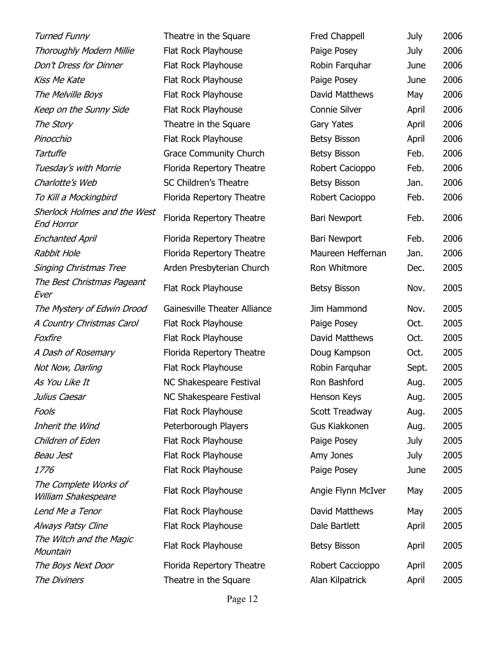Turned Funny Theatre in the Square Free Chappell Chappell Chappell Chappell Chappell Chappell Chappell Chappell Chappell Chappell Chappell Chappell Chappell Chappell Chappell Chappell Chappell Chappell Chappell Chappell Ch Thoroughly Modern Millie Flat Rock Playhouse Post Post Post Don't Dress for Dinner Flat Rock Playhouse Robin Farque 2006 Kiss Me Kate Flat Rock Playhouse Post Paige Post Paige Post Paige Post Paige Post Paige Post Paige P The Melville Boys Flat Rock Playhouse Keep on the Sunny Side Flat Rock Playhouse Connie Sunny Side The Story Theatre in the Square Gary Yates April 2006 Pinocchio Flat Rock Playhouse Bisson Bisson April 2006 Tartuffe **Grace Community Church** Bisson Feb. 2006 Tuesday's with Morrie Florida Repertory Theatre Charlotte's Web SC Children's Theatre Bisson Bisson Bisson January Bisson Disconne To Kill a Mockingbird Florida Repertory Theatre Robert Cacio Sherlock Holmes and the West End Horror Enchanted April Florida Repertory Theatre Barchanted April Rabbit Hole **Florida Repertory Theatre** Maureen Maureen Manual A Singing Christmas Tree Arden Presbyterian Church Ron Whitmore Dec. 2005 The Best Christmas Pageant Ever The Mystery of Edwin Drood Gainesville Theater Alliance Jim A Country Christmas Carol Flat Rock Playhouse Post Paige Pos Foxfire Flat Rock Playhouse David Matthews Oct. 2005 A Dash of Rosemary Florida Repertory Theatre Douglash Oct. 2005 Not Now, Darling Flat Rock Playhouse Robin Farque Robin Farque Robin Farque Robin Farque Robin Farque Robin Fa As You Like It NC Shakespeare Festival Julius Caesar NC Shakespeare Festival Fools **Fools Flat Rock Playhouse** Scott Treadway Aug. 2005 Inherit the Wind **Peterborough Players** Gus Conen Aug. 2005 Children of Eden Flat Rock Playhouse Post Paige Post Paige Post Paige Post Paige Post Paige Post Paige Post Pai Beau Jest American Controller Flat Rock Playhouse American American American American American American American 1776 **Flat Rock Playhouse** Paige Posey Posey Paige Posey Paige Posey Paige Posey P The Complete Works of William Shakespeare Lend Me a Tenor Flat Rock Playhouse David Matthews David Matthews David Matthews D Always Patsy Cline Flat Rock Playhouse The Witch and the Magic **Mountain** The Boys Next Door Florida Repertory Theatre Robert Caccioppo R

Florida Repertory Theatre Barrie Barry Barry Barry Barry Barry Barry Barry Barry Barry Barry Barry B Flat Rock Playhouse Bisson Nov. 2005 Flat Rock Playhouse Flat Rock Playhouse Bisson Bisson Bisson Bisson Bisson Bisson Bisson Bisson Bisson Bisson Bisson Bisson Bisson B The Diviners Theatre in the Square Alan Kilpatric

| red Chappell              | July  | 2006 |
|---------------------------|-------|------|
| aige Posey                | July  | 2006 |
| Robin Farquhar            | June  | 2006 |
| aige Posey                | June  | 2006 |
| Javid Matthews            | May   | 2006 |
| Connie Silver             | April | 2006 |
| Gary Yates                | April | 2006 |
| Betsy Bisson              | April | 2006 |
| Betsy Bisson              | Feb.  | 2006 |
| Robert Cacioppo           | Feb.  | 2006 |
| Betsy Bisson              | Jan.  | 2006 |
| Robert Cacioppo           | Feb.  | 2006 |
| Bari Newport              | Feb.  | 2006 |
| Bari Newport              | Feb.  | 2006 |
| Jaureen Heffernan         | Jan.  | 2006 |
| <b>Ron Whitmore</b>       | Dec.  | 2005 |
| Betsy Bisson              | Nov.  | 2005 |
| im Hammond                | Nov.  | 2005 |
| aige Posey                | Oct.  | 2005 |
| Javid Matthews            | Oct.  | 2005 |
| Joug Kampson              | Oct.  | 2005 |
| Robin Farquhar            | Sept. | 2005 |
| <b>Ron Bashford</b>       | Aug.  | 2005 |
| lenson Keys               | Aug.  | 2005 |
| Scott Treadway            | Aug.  | 2005 |
| Gus Kiakkonen             | Aug.  | 2005 |
| aige Posey                | July  | 2005 |
| <b>Amy Jones</b>          | July  | 2005 |
| aige Posey                | June  | 2005 |
| <b>Ingie Flynn McIver</b> | May   | 2005 |
| <b>David Matthews</b>     | May   | 2005 |
| Dale Bartlett             | April | 2005 |
| Betsy Bisson              | April | 2005 |
| Robert Caccioppo          | April | 2005 |
| Nan Kilpatrick            | April | 2005 |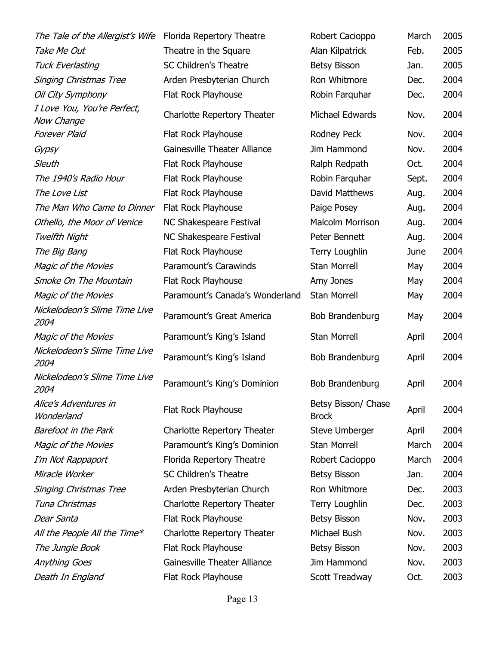| The Tale of the Allergist's Wife          | Florida Repertory Theatre       | Robert Cacioppo                     | March | 2005 |
|-------------------------------------------|---------------------------------|-------------------------------------|-------|------|
| Take Me Out                               | Theatre in the Square           | Alan Kilpatrick                     | Feb.  | 2005 |
| <b>Tuck Everlasting</b>                   | SC Children's Theatre           | <b>Betsy Bisson</b>                 | Jan.  | 2005 |
| <b>Singing Christmas Tree</b>             | Arden Presbyterian Church       | Ron Whitmore                        | Dec.  | 2004 |
| Oil City Symphony                         | Flat Rock Playhouse             | Robin Farquhar                      | Dec.  | 2004 |
| I Love You, You're Perfect,<br>Now Change | Charlotte Repertory Theater     | Michael Edwards                     | Nov.  | 2004 |
| <b>Forever Plaid</b>                      | Flat Rock Playhouse             | Rodney Peck                         | Nov.  | 2004 |
| Gypsy                                     | Gainesville Theater Alliance    | Jim Hammond                         | Nov.  | 2004 |
| Sleuth                                    | Flat Rock Playhouse             | Ralph Redpath                       | Oct.  | 2004 |
| The 1940's Radio Hour                     | Flat Rock Playhouse             | Robin Farquhar                      | Sept. | 2004 |
| The Love List                             | Flat Rock Playhouse             | David Matthews                      | Aug.  | 2004 |
| The Man Who Came to Dinner                | Flat Rock Playhouse             | Paige Posey                         | Aug.  | 2004 |
| Othello, the Moor of Venice               | NC Shakespeare Festival         | <b>Malcolm Morrison</b>             | Aug.  | 2004 |
| Twelfth Night                             | <b>NC Shakespeare Festival</b>  | Peter Bennett                       | Aug.  | 2004 |
| The Big Bang                              | Flat Rock Playhouse             | <b>Terry Loughlin</b>               | June  | 2004 |
| Magic of the Movies                       | Paramount's Carawinds           | <b>Stan Morrell</b>                 | May   | 2004 |
| Smoke On The Mountain                     | Flat Rock Playhouse             | Amy Jones                           | May   | 2004 |
| Magic of the Movies                       | Paramount's Canada's Wonderland | <b>Stan Morrell</b>                 | May   | 2004 |
| Nickelodeon's Slime Time Live<br>2004     | Paramount's Great America       | Bob Brandenburg                     | May   | 2004 |
| Magic of the Movies                       | Paramount's King's Island       | <b>Stan Morrell</b>                 | April | 2004 |
| Nickelodeon's Slime Time Live<br>2004     | Paramount's King's Island       | Bob Brandenburg                     | April | 2004 |
| Nickelodeon's Slime Time Live<br>2004     | Paramount's King's Dominion     | Bob Brandenburg                     | April | 2004 |
| Alice's Adventures in<br>Wonderland       | Flat Rock Playhouse             | Betsy Bisson/ Chase<br><b>Brock</b> | April | 2004 |
| <b>Barefoot in the Park</b>               | Charlotte Repertory Theater     | <b>Steve Umberger</b>               | April | 2004 |
| Magic of the Movies                       | Paramount's King's Dominion     | <b>Stan Morrell</b>                 | March | 2004 |
| I'm Not Rappaport                         | Florida Repertory Theatre       | Robert Cacioppo                     | March | 2004 |
| Miracle Worker                            | <b>SC Children's Theatre</b>    | <b>Betsy Bisson</b>                 | Jan.  | 2004 |
| <b>Singing Christmas Tree</b>             | Arden Presbyterian Church       | Ron Whitmore                        | Dec.  | 2003 |
| Tuna Christmas                            | Charlotte Repertory Theater     | Terry Loughlin                      | Dec.  | 2003 |
| Dear Santa                                | Flat Rock Playhouse             | <b>Betsy Bisson</b>                 | Nov.  | 2003 |
| All the People All the Time*              | Charlotte Repertory Theater     | Michael Bush                        | Nov.  | 2003 |
| The Jungle Book                           | Flat Rock Playhouse             | <b>Betsy Bisson</b>                 | Nov.  | 2003 |
| <b>Anything Goes</b>                      | Gainesville Theater Alliance    | Jim Hammond                         | Nov.  | 2003 |
| Death In England                          | Flat Rock Playhouse             | Scott Treadway                      | Oct.  | 2003 |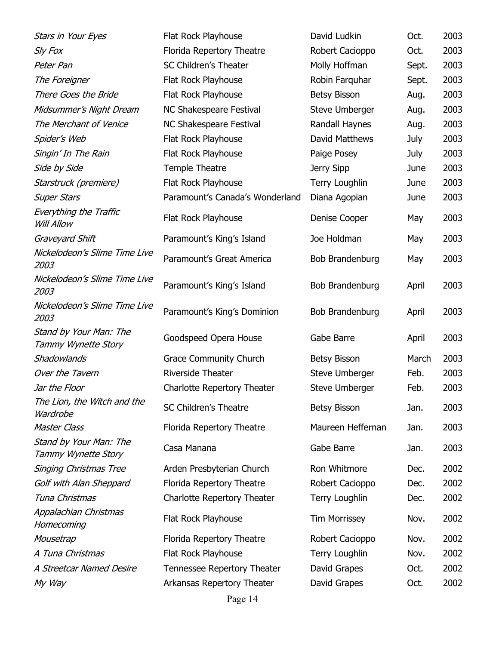| Stars in Your Eyes                                 | Flat Rock Playhouse             | David Ludkin          | Oct.  | 2003 |
|----------------------------------------------------|---------------------------------|-----------------------|-------|------|
| Sly Fox                                            | Florida Repertory Theatre       | Robert Cacioppo       | Oct.  | 2003 |
| Peter Pan                                          | SC Children's Theater           | Molly Hoffman         | Sept. | 2003 |
| The Foreigner                                      | Flat Rock Playhouse             | Robin Farquhar        | Sept. | 2003 |
| There Goes the Bride                               | Flat Rock Playhouse             | <b>Betsy Bisson</b>   | Aug.  | 2003 |
| Midsummer's Night Dream                            | NC Shakespeare Festival         | Steve Umberger        | Aug.  | 2003 |
| The Merchant of Venice                             | NC Shakespeare Festival         | Randall Haynes        | Aug.  | 2003 |
| Spider's Web                                       | Flat Rock Playhouse             | David Matthews        | July  | 2003 |
| Singin' In The Rain                                | Flat Rock Playhouse             | Paige Posey           | July  | 2003 |
| Side by Side                                       | Temple Theatre                  | Jerry Sipp            | June  | 2003 |
| Starstruck (premiere)                              | Flat Rock Playhouse             | <b>Terry Loughlin</b> | June  | 2003 |
| <b>Super Stars</b>                                 | Paramount's Canada's Wonderland | Diana Agopian         | June  | 2003 |
| <b>Everything the Traffic</b><br><b>Will Allow</b> | Flat Rock Playhouse             | Denise Cooper         | May   | 2003 |
| Graveyard Shift                                    | Paramount's King's Island       | Joe Holdman           | May   | 2003 |
| Nickelodeon's Slime Time Live<br>2003              | Paramount's Great America       | Bob Brandenburg       | May   | 2003 |
| Nickelodeon's Slime Time Live<br>2003              | Paramount's King's Island       | Bob Brandenburg       | April | 2003 |
| Nickelodeon's Slime Time Live<br>2003              | Paramount's King's Dominion     | Bob Brandenburg       | April | 2003 |
| Stand by Your Man: The<br>Tammy Wynette Story      | Goodspeed Opera House           | Gabe Barre            | April | 2003 |
| Shadowlands                                        | <b>Grace Community Church</b>   | <b>Betsy Bisson</b>   | March | 2003 |
| Over the Tavern                                    | Riverside Theater               | <b>Steve Umberger</b> | Feb.  | 2003 |
| Jar the Floor                                      | Charlotte Repertory Theater     | <b>Steve Umberger</b> | Feb.  | 2003 |
| The Lion, the Witch and the<br>Wardrobe            | <b>SC Children's Theatre</b>    | <b>Betsy Bisson</b>   | Jan.  | 2003 |
| <b>Master Class</b>                                | Florida Repertory Theatre       | Maureen Heffernan     | Jan.  | 2003 |
| Stand by Your Man: The<br>Tammy Wynette Story      | Casa Manana                     | Gabe Barre            | Jan.  | 2003 |
| <b>Singing Christmas Tree</b>                      | Arden Presbyterian Church       | Ron Whitmore          | Dec.  | 2002 |
| Golf with Alan Sheppard                            | Florida Repertory Theatre       | Robert Cacioppo       | Dec.  | 2002 |
| Tuna Christmas                                     | Charlotte Repertory Theater     | <b>Terry Loughlin</b> | Dec.  | 2002 |
| Appalachian Christmas<br>Homecoming                | Flat Rock Playhouse             | <b>Tim Morrissey</b>  | Nov.  | 2002 |
| Mousetrap                                          | Florida Repertory Theatre       | Robert Cacioppo       | Nov.  | 2002 |
| A Tuna Christmas                                   | Flat Rock Playhouse             | <b>Terry Loughlin</b> | Nov.  | 2002 |
| A Streetcar Named Desire                           | Tennessee Repertory Theater     | David Grapes          | Oct.  | 2002 |
| My Way                                             | Arkansas Repertory Theater      | David Grapes          | Oct.  | 2002 |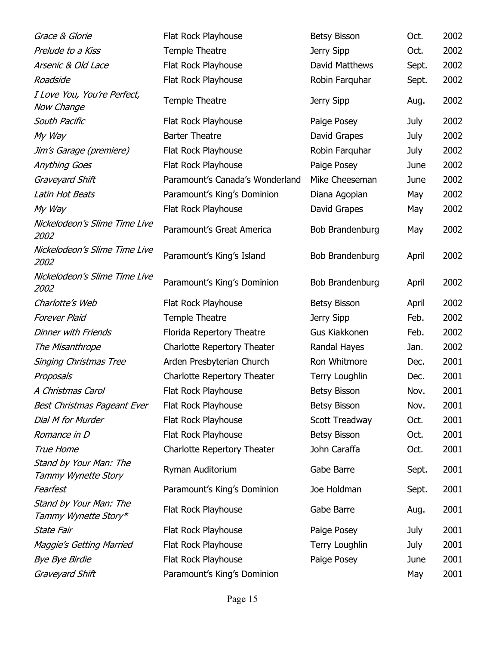| Grace & Glorie                                 | Flat Rock Playhouse             | <b>Betsy Bisson</b>    | Oct.  | 2002 |
|------------------------------------------------|---------------------------------|------------------------|-------|------|
| Prelude to a Kiss                              | Temple Theatre                  | Jerry Sipp             | Oct.  | 2002 |
| Arsenic & Old Lace                             | Flat Rock Playhouse             | David Matthews         | Sept. | 2002 |
| Roadside                                       | Flat Rock Playhouse             | Robin Farquhar         | Sept. | 2002 |
| I Love You, You're Perfect,<br>Now Change      | Temple Theatre                  | Jerry Sipp             | Aug.  | 2002 |
| South Pacific                                  | Flat Rock Playhouse             | Paige Posey            | July  | 2002 |
| My Way                                         | <b>Barter Theatre</b>           | David Grapes           | July  | 2002 |
| Jim's Garage (premiere)                        | Flat Rock Playhouse             | Robin Farquhar         | July  | 2002 |
| <b>Anything Goes</b>                           | Flat Rock Playhouse             | Paige Posey            | June  | 2002 |
| Graveyard Shift                                | Paramount's Canada's Wonderland | Mike Cheeseman         | June  | 2002 |
| Latin Hot Beats                                | Paramount's King's Dominion     | Diana Agopian          | May   | 2002 |
| My Way                                         | Flat Rock Playhouse             | David Grapes           | May   | 2002 |
| Nickelodeon's Slime Time Live<br>2002          | Paramount's Great America       | Bob Brandenburg        | May   | 2002 |
| Nickelodeon's Slime Time Live<br>2002          | Paramount's King's Island       | <b>Bob Brandenburg</b> | April | 2002 |
| Nickelodeon's Slime Time Live<br>2002          | Paramount's King's Dominion     | Bob Brandenburg        | April | 2002 |
| Charlotte's Web                                | Flat Rock Playhouse             | <b>Betsy Bisson</b>    | April | 2002 |
| <b>Forever Plaid</b>                           | Temple Theatre                  | Jerry Sipp             | Feb.  | 2002 |
| <b>Dinner with Friends</b>                     | Florida Repertory Theatre       | Gus Kiakkonen          | Feb.  | 2002 |
| The Misanthrope                                | Charlotte Repertory Theater     | Randal Hayes           | Jan.  | 2002 |
| <b>Singing Christmas Tree</b>                  | Arden Presbyterian Church       | Ron Whitmore           | Dec.  | 2001 |
| Proposals                                      | Charlotte Repertory Theater     | <b>Terry Loughlin</b>  | Dec.  | 2001 |
| A Christmas Carol                              | Flat Rock Playhouse             | Betsy Bisson           | Nov.  | 2001 |
| Best Christmas Pageant Ever                    | Flat Rock Playhouse             | <b>Betsy Bisson</b>    | Nov.  | 2001 |
| Dial M for Murder                              | Flat Rock Playhouse             | Scott Treadway         | Oct.  | 2001 |
| Romance in D                                   | Flat Rock Playhouse             | <b>Betsy Bisson</b>    | Oct.  | 2001 |
| True Home                                      | Charlotte Repertory Theater     | John Caraffa           | Oct.  | 2001 |
| Stand by Your Man: The<br>Tammy Wynette Story  | Ryman Auditorium                | Gabe Barre             | Sept. | 2001 |
| Fearfest                                       | Paramount's King's Dominion     | Joe Holdman            | Sept. | 2001 |
| Stand by Your Man: The<br>Tammy Wynette Story* | Flat Rock Playhouse             | Gabe Barre             | Aug.  | 2001 |
| State Fair                                     | Flat Rock Playhouse             | Paige Posey            | July  | 2001 |
| Maggie's Getting Married                       | Flat Rock Playhouse             | <b>Terry Loughlin</b>  | July  | 2001 |
| <b>Bye Bye Birdie</b>                          | Flat Rock Playhouse             | Paige Posey            | June  | 2001 |
| Graveyard Shift                                | Paramount's King's Dominion     |                        | May   | 2001 |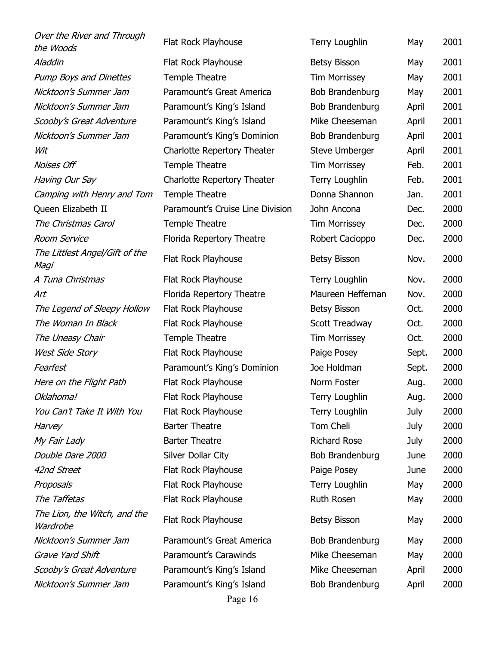| Over the River and Through<br>the Woods  | Flat Rock Playhouse              | <b>Terry Loughlin</b> | May   | 2001 |
|------------------------------------------|----------------------------------|-----------------------|-------|------|
| Aladdin                                  | Flat Rock Playhouse              | <b>Betsy Bisson</b>   | May   | 2001 |
| <b>Pump Boys and Dinettes</b>            | Temple Theatre                   | <b>Tim Morrissey</b>  | May   | 2001 |
| Nicktoon's Summer Jam                    | Paramount's Great America        | Bob Brandenburg       | May   | 2001 |
| Nicktoon's Summer Jam                    | Paramount's King's Island        | Bob Brandenburg       | April | 2001 |
| Scooby's Great Adventure                 | Paramount's King's Island        | Mike Cheeseman        | April | 2001 |
| Nicktoon's Summer Jam                    | Paramount's King's Dominion      | Bob Brandenburg       | April | 2001 |
| Wit                                      | Charlotte Repertory Theater      | <b>Steve Umberger</b> | April | 2001 |
| Noises Off                               | Temple Theatre                   | <b>Tim Morrissey</b>  | Feb.  | 2001 |
| Having Our Say                           | Charlotte Repertory Theater      | Terry Loughlin        | Feb.  | 2001 |
| Camping with Henry and Tom               | <b>Temple Theatre</b>            | Donna Shannon         | Jan.  | 2001 |
| Queen Elizabeth II                       | Paramount's Cruise Line Division | John Ancona           | Dec.  | 2000 |
| The Christmas Carol                      | Temple Theatre                   | <b>Tim Morrissey</b>  | Dec.  | 2000 |
| <b>Room Service</b>                      | Florida Repertory Theatre        | Robert Cacioppo       | Dec.  | 2000 |
| The Littlest Angel/Gift of the<br>Magi   | Flat Rock Playhouse              | <b>Betsy Bisson</b>   | Nov.  | 2000 |
| A Tuna Christmas                         | Flat Rock Playhouse              | <b>Terry Loughlin</b> | Nov.  | 2000 |
| Art                                      | Florida Repertory Theatre        | Maureen Heffernan     | Nov.  | 2000 |
| The Legend of Sleepy Hollow              | Flat Rock Playhouse              | <b>Betsy Bisson</b>   | Oct.  | 2000 |
| The Woman In Black                       | Flat Rock Playhouse              | Scott Treadway        | Oct.  | 2000 |
| The Uneasy Chair                         | Temple Theatre                   | <b>Tim Morrissey</b>  | Oct.  | 2000 |
| <b>West Side Story</b>                   | Flat Rock Playhouse              | Paige Posey           | Sept. | 2000 |
| Fearfest                                 | Paramount's King's Dominion      | Joe Holdman           | Sept. | 2000 |
| Here on the Flight Path                  | Flat Rock Playhouse              | Norm Foster           | Aug.  | 2000 |
| Oklahoma!                                | Flat Rock Playhouse              | <b>Terry Loughlin</b> | Aug.  | 2000 |
| You Can't Take It With You               | Flat Rock Playhouse              | <b>Terry Loughlin</b> | July  | 2000 |
| Harvey                                   | <b>Barter Theatre</b>            | Tom Cheli             | July  | 2000 |
| My Fair Lady                             | <b>Barter Theatre</b>            | <b>Richard Rose</b>   | July  | 2000 |
| Double Dare 2000                         | Silver Dollar City               | Bob Brandenburg       | June  | 2000 |
| 42nd Street                              | Flat Rock Playhouse              | Paige Posey           | June  | 2000 |
| Proposals                                | Flat Rock Playhouse              | <b>Terry Loughlin</b> | May   | 2000 |
| The Taffetas                             | Flat Rock Playhouse              | <b>Ruth Rosen</b>     | May   | 2000 |
| The Lion, the Witch, and the<br>Wardrobe | Flat Rock Playhouse              | <b>Betsy Bisson</b>   | May   | 2000 |
| Nicktoon's Summer Jam                    | Paramount's Great America        | Bob Brandenburg       | May   | 2000 |
| Grave Yard Shift                         | Paramount's Carawinds            | Mike Cheeseman        | May   | 2000 |
| Scooby's Great Adventure                 | Paramount's King's Island        | Mike Cheeseman        | April | 2000 |
| Nicktoon's Summer Jam                    | Paramount's King's Island        | Bob Brandenburg       | April | 2000 |
|                                          | Page 16                          |                       |       |      |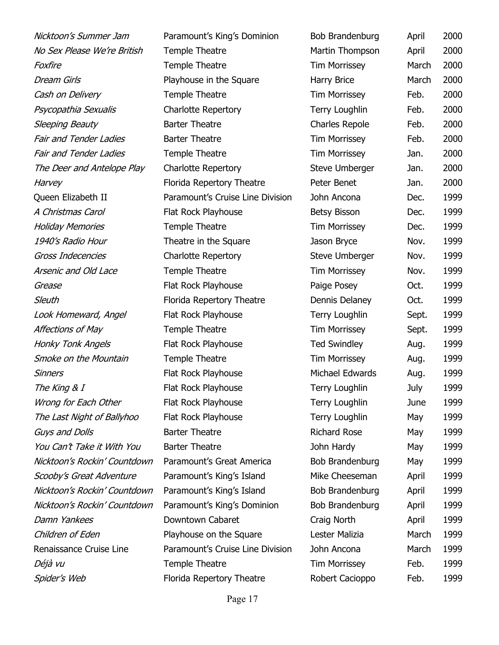Foxfire Temple Theatre Cash on Delivery Temple Theatre Psycopathia Sexualis Charlotte Repertory Sleeping Beauty Barter Theatre Fair and Tender Ladies Barter Theatre Fair and Tender Ladies Temple Theatre Arsenic and Old Lace Temple Theatre Grease Flat Rock Playhouse Look Homeward, Angel Flat Rock Playhouse Affections of May Temple Theatre Honky Tonk Angels Flat Rock Playhouse Smoke on the Mountain Temple Theatre Sinners Flat Rock Playhouse The King  $& I$  Flat Rock Playhouse Wrong for Each Other Flat Rock Playhouse The Last Night of Ballyhoo Flat Rock Playhouse Guys and Dolls **Barter Theatre** You Can't Take it With You Barter Theatre Scooby's Great Adventure Paramount's King's Island Nicktoon's Rockin' Countdown Paramount's King's Island Damn Yankees Downtown Cabaret

Nicktoon's Summer Jam Paramount's King's Dominion B No Sex Please We're British Temple Theatre Dream Girls **Playhouse in the Square** Harry Britannian Harry Britannian March 2000 The Deer and Antelope Play Charlotte Repertory Steve Umberger Steve Umberger Steve Umberger Steve Umberger Steve Harvey **Florida Repertory Theatre** Peter Benet Benet Benet Array Benet Array Peter Benet Benet Benet Benet Benet B Queen Elizabeth II Paramount's Cruise Line Division John July A Christmas Carol Flat Rock Playhouse Bets Bisson Dec. 1999 Holiday Memories Temple Theatre Theatre 1940's Radio Hour Theatre in the Square J Gross Indecencies Charlotte Repertory Steve Umberger Nov. 1999 Sleuth **Florida Repertory Theatre** Dennis Dennis Dennis Dennis Dennis Dennis Dennis Dennis Dennis Dennis Dennis D Nicktoon's Rockin' Countdown Paramount's Great America F Nicktoon's Rockin' Countdown Paramount's King's Dominion B Children of Eden **Playhouse on the Square** Renaissance Cruise Line Paramount's Cruise Line Division June Déjà vu illustration de Temple Theatre in Morris Temple Theatre Spider's Web **Florida Repertory Theatre** Robert Cacioppo

| <b>Bob Brandenburg</b> | April | 2000 |
|------------------------|-------|------|
| <b>Martin Thompson</b> | April | 2000 |
| Tim Morrissey          | March | 2000 |
| larry Brice            | March | 2000 |
| Tim Morrissey          | Feb.  | 2000 |
| Terry Loughlin         | Feb.  | 2000 |
| Charles Repole         | Feb.  | 2000 |
| Tim Morrissey          | Feb.  | 2000 |
| Tim Morrissey          | Jan.  | 2000 |
| Steve Umberger         | Jan.  | 2000 |
| eter Benet             | Jan.  | 2000 |
| ohn Ancona             | Dec.  | 1999 |
| Betsy Bisson           | Dec.  | 1999 |
| Tim Morrissey          | Dec.  | 1999 |
| ason Bryce             | Nov.  | 1999 |
| Steve Umberger         | Nov.  | 1999 |
| Tim Morrissey          | Nov.  | 1999 |
| aige Posey             | Oct.  | 1999 |
| Dennis Delaney         | Oct.  | 1999 |
| Terry Loughlin         | Sept. | 1999 |
| Tim Morrissey          | Sept. | 1999 |
| <b>Fed Swindley</b>    | Aug.  | 1999 |
| Tim Morrissey          | Aug.  | 1999 |
| <b>Michael Edwards</b> | Aug.  | 1999 |
| <b>Terry Loughlin</b>  | July  | 1999 |
| <b>Terry Loughlin</b>  | June  | 1999 |
| Terry Loughlin         | May   | 1999 |
| Richard Rose           | May   | 1999 |
| ohn Hardy              | May   | 1999 |
| Bob Brandenburg        | May   | 1999 |
| <b>1ike Cheeseman</b>  | April | 1999 |
| Bob Brandenburg        | April | 1999 |
| Bob Brandenburg        | April | 1999 |
| Craig North            | April | 1999 |
| ester Malizia          | March | 1999 |
| ohn Ancona             | March | 1999 |
| Tim Morrissey          | Feb.  | 1999 |
| Robert Cacionno        | Feb.  | 1999 |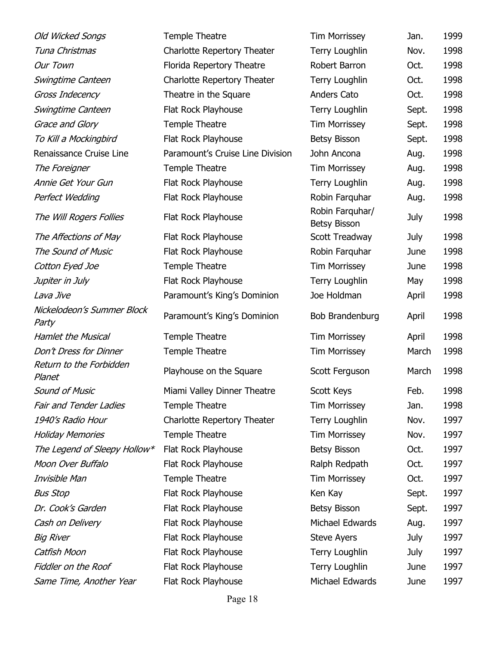| Old Wicked Songs                    | Temple Theatre                   | <b>Tim Morrissey</b>                   | Jan.  | 1999 |
|-------------------------------------|----------------------------------|----------------------------------------|-------|------|
| Tuna Christmas                      | Charlotte Repertory Theater      | <b>Terry Loughlin</b>                  | Nov.  | 1998 |
| Our Town                            | Florida Repertory Theatre        | Robert Barron                          | Oct.  | 1998 |
| Swingtime Canteen                   | Charlotte Repertory Theater      | <b>Terry Loughlin</b>                  | Oct.  | 1998 |
| Gross Indecency                     | Theatre in the Square            | Anders Cato                            | Oct.  | 1998 |
| Swingtime Canteen                   | Flat Rock Playhouse              | <b>Terry Loughlin</b>                  | Sept. | 1998 |
| Grace and Glory                     | Temple Theatre                   | <b>Tim Morrissey</b>                   | Sept. | 1998 |
| To Kill a Mockingbird               | Flat Rock Playhouse              | <b>Betsy Bisson</b>                    | Sept. | 1998 |
| Renaissance Cruise Line             | Paramount's Cruise Line Division | John Ancona                            | Aug.  | 1998 |
| The Foreigner                       | Temple Theatre                   | <b>Tim Morrissey</b>                   | Aug.  | 1998 |
| Annie Get Your Gun                  | Flat Rock Playhouse              | <b>Terry Loughlin</b>                  | Aug.  | 1998 |
| Perfect Wedding                     | Flat Rock Playhouse              | Robin Farquhar                         | Aug.  | 1998 |
| The Will Rogers Follies             | Flat Rock Playhouse              | Robin Farquhar/<br><b>Betsy Bisson</b> | July  | 1998 |
| The Affections of May               | Flat Rock Playhouse              | Scott Treadway                         | July  | 1998 |
| The Sound of Music                  | Flat Rock Playhouse              | Robin Farquhar                         | June  | 1998 |
| Cotton Eyed Joe                     | Temple Theatre                   | <b>Tim Morrissey</b>                   | June  | 1998 |
| Jupiter in July                     | Flat Rock Playhouse              | Terry Loughlin                         | May   | 1998 |
| Lava Jive                           | Paramount's King's Dominion      | Joe Holdman                            | April | 1998 |
| Nickelodeon's Summer Block<br>Party | Paramount's King's Dominion      | Bob Brandenburg                        | April | 1998 |
| <b>Hamlet the Musical</b>           | Temple Theatre                   | <b>Tim Morrissey</b>                   | April | 1998 |
| Don't Dress for Dinner              | Temple Theatre                   | <b>Tim Morrissey</b>                   | March | 1998 |
| Return to the Forbidden<br>Planet   | Playhouse on the Square          | Scott Ferguson                         | March | 1998 |
| <b>Sound of Music</b>               | Miami Valley Dinner Theatre      | Scott Keys                             | Feb.  | 1998 |
| <b>Fair and Tender Ladies</b>       | Temple Theatre                   | <b>Tim Morrissey</b>                   | Jan.  | 1998 |
| 1940's Radio Hour                   | Charlotte Repertory Theater      | <b>Terry Loughlin</b>                  | Nov.  | 1997 |
| <b>Holiday Memories</b>             | Temple Theatre                   | <b>Tim Morrissey</b>                   | Nov.  | 1997 |
| The Legend of Sleepy Hollow*        | Flat Rock Playhouse              | <b>Betsy Bisson</b>                    | Oct.  | 1997 |
| Moon Over Buffalo                   | Flat Rock Playhouse              | Ralph Redpath                          | Oct.  | 1997 |
| Invisible Man                       | Temple Theatre                   | <b>Tim Morrissey</b>                   | Oct.  | 1997 |
| <b>Bus Stop</b>                     | Flat Rock Playhouse              | Ken Kay                                | Sept. | 1997 |
| Dr. Cook's Garden                   | Flat Rock Playhouse              | <b>Betsy Bisson</b>                    | Sept. | 1997 |
| Cash on Delivery                    | Flat Rock Playhouse              | Michael Edwards                        | Aug.  | 1997 |
| <b>Big River</b>                    |                                  |                                        |       |      |
|                                     | Flat Rock Playhouse              | <b>Steve Ayers</b>                     | July  | 1997 |
| Catfish Moon                        | Flat Rock Playhouse              | <b>Terry Loughlin</b>                  | July  | 1997 |
| Fiddler on the Roof                 | Flat Rock Playhouse              | <b>Terry Loughlin</b>                  | June  | 1997 |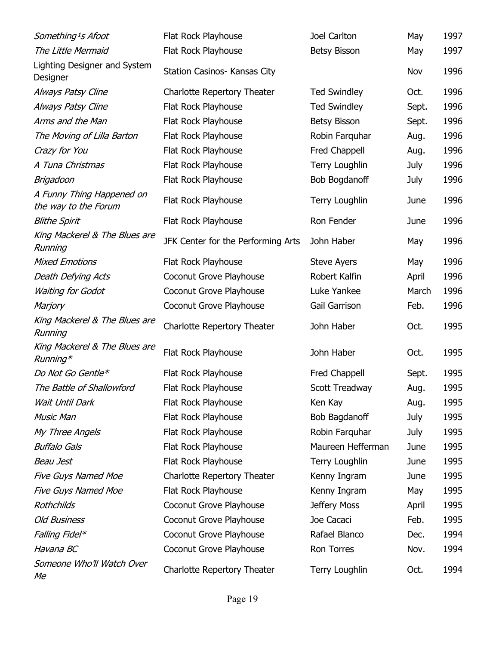| Something <sup>1</sup> s Afoot                    | Flat Rock Playhouse                | Joel Carlton          | May   | 1997 |
|---------------------------------------------------|------------------------------------|-----------------------|-------|------|
| The Little Mermaid                                | Flat Rock Playhouse                | <b>Betsy Bisson</b>   | May   | 1997 |
| Lighting Designer and System<br>Designer          | Station Casinos- Kansas City       |                       | Nov   | 1996 |
| Always Patsy Cline                                | Charlotte Repertory Theater        | <b>Ted Swindley</b>   | Oct.  | 1996 |
| Always Patsy Cline                                | Flat Rock Playhouse                | <b>Ted Swindley</b>   | Sept. | 1996 |
| Arms and the Man                                  | Flat Rock Playhouse                | <b>Betsy Bisson</b>   | Sept. | 1996 |
| The Moving of Lilla Barton                        | Flat Rock Playhouse                | Robin Farquhar        | Aug.  | 1996 |
| Crazy for You                                     | Flat Rock Playhouse                | Fred Chappell         | Aug.  | 1996 |
| A Tuna Christmas                                  | Flat Rock Playhouse                | <b>Terry Loughlin</b> | July  | 1996 |
| Brigadoon                                         | Flat Rock Playhouse                | <b>Bob Bogdanoff</b>  | July  | 1996 |
| A Funny Thing Happened on<br>the way to the Forum | Flat Rock Playhouse                | <b>Terry Loughlin</b> | June  | 1996 |
| <b>Blithe Spirit</b>                              | Flat Rock Playhouse                | Ron Fender            | June  | 1996 |
| King Mackerel & The Blues are<br>Running          | JFK Center for the Performing Arts | John Haber            | May   | 1996 |
| <b>Mixed Emotions</b>                             | Flat Rock Playhouse                | <b>Steve Ayers</b>    | May   | 1996 |
| Death Defying Acts                                | Coconut Grove Playhouse            | Robert Kalfin         | April | 1996 |
| <b>Waiting for Godot</b>                          | Coconut Grove Playhouse            | Luke Yankee           | March | 1996 |
| Marjory                                           | Coconut Grove Playhouse            | Gail Garrison         | Feb.  | 1996 |
| King Mackerel & The Blues are<br>Running          | Charlotte Repertory Theater        | John Haber            | Oct.  | 1995 |
| King Mackerel & The Blues are<br>$Running*$       | Flat Rock Playhouse                | John Haber            | Oct.  | 1995 |
| Do Not Go Gentle*                                 | Flat Rock Playhouse                | Fred Chappell         | Sept. | 1995 |
| The Battle of Shallowford                         | Flat Rock Playhouse                | Scott Treadway        | Aug.  | 1995 |
| Wait Until Dark                                   | Flat Rock Playhouse                | Ken Kay               | Aug.  | 1995 |
| <b>Music Man</b>                                  | Flat Rock Playhouse                | <b>Bob Bagdanoff</b>  | July  | 1995 |
| My Three Angels                                   | Flat Rock Playhouse                | Robin Farquhar        | July  | 1995 |
| <b>Buffalo Gals</b>                               | Flat Rock Playhouse                | Maureen Hefferman     | June  | 1995 |
| Beau Jest                                         | Flat Rock Playhouse                | <b>Terry Loughlin</b> | June  | 1995 |
| <b>Five Guys Named Moe</b>                        | <b>Charlotte Repertory Theater</b> | Kenny Ingram          | June  | 1995 |
| <b>Five Guys Named Moe</b>                        | Flat Rock Playhouse                | Kenny Ingram          | May   | 1995 |
| Rothchilds                                        | Coconut Grove Playhouse            | Jeffery Moss          | April | 1995 |
| <b>Old Business</b>                               | Coconut Grove Playhouse            | Joe Cacaci            | Feb.  | 1995 |
| Falling Fidel*                                    | Coconut Grove Playhouse            | Rafael Blanco         | Dec.  | 1994 |
| Havana BC                                         | Coconut Grove Playhouse            | Ron Torres            | Nov.  | 1994 |
| Someone Who'll Watch Over<br>Me                   | Charlotte Repertory Theater        | <b>Terry Loughlin</b> | Oct.  | 1994 |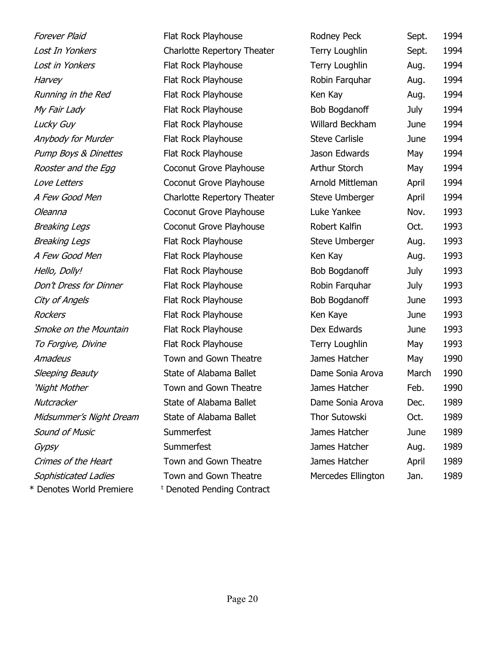Lost in Yonkers Flat Rock Playhouse Harvey Flat Rock Playhouse Running in the Red Flat Rock Playhouse  $My Fair Lady$  Flat Rock Playhouse Lucky Guy **Flat Rock Playhouse** Anybody for Murder Flat Rock Playhouse Pump Boys & Dinettes Flat Rock Playhouse Rooster and the Egg Coconut Grove Playhouse Love Letters **Coconut Grove Playhouse** Oleanna Coconut Grove Playhouse Breaking Legs **Coconut Grove Playhouse** Breaking Legs Flat Rock Playhouse A Few Good Men Flat Rock Playhouse Hello, Dolly! Flat Rock Playhouse Don't Dress for Dinner Flat Rock Playhouse City of Angels Flat Rock Playhouse Rockers Flat Rock Playhouse Smoke on the Mountain Flat Rock Playhouse To Forgive, Divine Flat Rock Playhouse Amadeus Town and Gown Theatre Sleeping Beauty State of Alabama Ballet 'Night Mother Town and Gown Theatre Nutcracker State of Alabama Ballet Midsummer's Night Dream State of Alabama Ballet Sound of Music Summerfest Crimes of the Heart Town and Gown Theatre Sophisticated Ladies Town and Gown Theatre \* Denotes World Premiere <sup>t</sup>

| Forever Plaid                   | Flat Rock Playhouse         | Rodney Peck            | Sept. | 1994 |
|---------------------------------|-----------------------------|------------------------|-------|------|
| Lost In Yonkers                 | Charlotte Repertory Theater | <b>Terry Loughlin</b>  | Sept. | 1994 |
| Lost in Yonkers                 | Flat Rock Playhouse         | <b>Terry Loughlin</b>  | Aug.  | 1994 |
| Harvey                          | Flat Rock Playhouse         | Robin Farquhar         | Aug.  | 1994 |
| Running in the Red              | Flat Rock Playhouse         | Ken Kay                | Aug.  | 1994 |
| My Fair Lady                    | Flat Rock Playhouse         | <b>Bob Bogdanoff</b>   | July  | 1994 |
| Lucky Guy                       | Flat Rock Playhouse         | <b>Willard Beckham</b> | June  | 1994 |
| Anybody for Murder              | Flat Rock Playhouse         | <b>Steve Carlisle</b>  | June  | 1994 |
| <b>Pump Boys &amp; Dinettes</b> | Flat Rock Playhouse         | Jason Edwards          | May   | 1994 |
| Rooster and the Egg             | Coconut Grove Playhouse     | Arthur Storch          | May   | 1994 |
| Love Letters                    | Coconut Grove Playhouse     | Arnold Mittleman       | April | 1994 |
| A Few Good Men                  | Charlotte Repertory Theater | Steve Umberger         | April | 1994 |
| Oleanna                         | Coconut Grove Playhouse     | Luke Yankee            | Nov.  | 1993 |
| Breaking Legs                   | Coconut Grove Playhouse     | Robert Kalfin          | Oct.  | 1993 |
| Breaking Legs                   | Flat Rock Playhouse         | Steve Umberger         | Aug.  | 1993 |
| A Few Good Men                  | Flat Rock Playhouse         | Ken Kay                | Aug.  | 1993 |
| Hello, Dolly!                   | Flat Rock Playhouse         | Bob Bogdanoff          | July  | 1993 |
| Don't Dress for Dinner          | Flat Rock Playhouse         | Robin Farquhar         | July  | 1993 |
| City of Angels                  | Flat Rock Playhouse         | <b>Bob Bogdanoff</b>   | June  | 1993 |
| Rockers                         | Flat Rock Playhouse         | Ken Kaye               | June  | 1993 |
| Smoke on the Mountain           | Flat Rock Playhouse         | Dex Edwards            | June  | 1993 |
| To Forgive, Divine              | Flat Rock Playhouse         | <b>Terry Loughlin</b>  | May   | 1993 |
| Amadeus                         | Town and Gown Theatre       | James Hatcher          | May   | 1990 |
| Sleeping Beauty                 | State of Alabama Ballet     | Dame Sonia Arova       | March | 1990 |
| 'Night Mother                   | Town and Gown Theatre       | James Hatcher          | Feb.  | 1990 |
| Nutcracker                      | State of Alabama Ballet     | Dame Sonia Arova       | Dec.  | 1989 |
| Midsummer's Night Dream         | State of Alabama Ballet     | Thor Sutowski          | Oct.  | 1989 |
| Sound of Music                  | Summerfest                  | James Hatcher          | June  | 1989 |
| Gypsy                           | Summerfest                  | James Hatcher          | Aug.  | 1989 |
| Crimes of the Heart             | Town and Gown Theatre       | James Hatcher          | April | 1989 |
| Sophisticated Ladies            | Town and Gown Theatre       | Mercedes Ellington     | Jan.  | 1989 |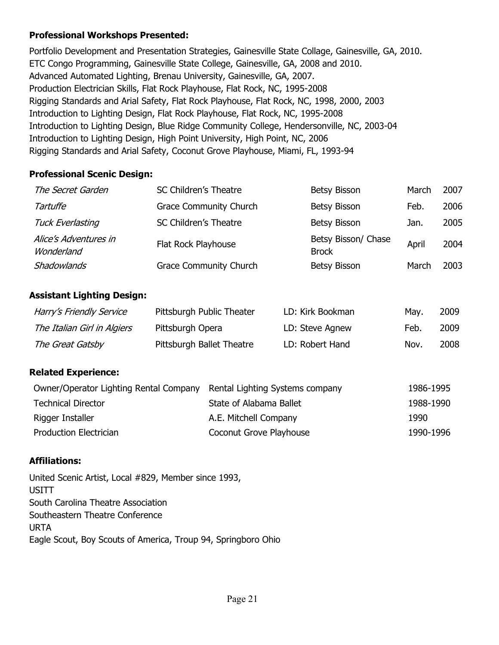### Professional Workshops Presented:

Portfolio Development and Presentation Strategies, Gainesville State Collage, Gainesville, GA, 2010. ETC Congo Programming, Gainesville State College, Gainesville, GA, 2008 and 2010. Advanced Automated Lighting, Brenau University, Gainesville, GA, 2007. Production Electrician Skills, Flat Rock Playhouse, Flat Rock, NC, 1995-2008 Rigging Standards and Arial Safety, Flat Rock Playhouse, Flat Rock, NC, 1998, 2000, 2003 Introduction to Lighting Design, Flat Rock Playhouse, Flat Rock, NC, 1995-2008 Introduction to Lighting Design, Blue Ridge Community College, Hendersonville, NC, 2003-04 Introduction to Lighting Design, High Point University, High Point, NC, 2006 Rigging Standards and Arial Safety, Coconut Grove Playhouse, Miami, FL, 1993-94

### Professional Scenic Design:

| The Secret Garden                   | SC Children's Theatre         | <b>Betsy Bisson</b>                 | March | 2007 |
|-------------------------------------|-------------------------------|-------------------------------------|-------|------|
| Tartuffe                            | <b>Grace Community Church</b> | <b>Betsy Bisson</b>                 | Feb.  | 2006 |
| <b>Tuck Everlasting</b>             | SC Children's Theatre         | <b>Betsy Bisson</b>                 | Jan.  | 2005 |
| Alice's Adventures in<br>Wonderland | Flat Rock Playhouse           | Betsy Bisson/ Chase<br><b>Brock</b> | April | 2004 |
| Shadowlands                         | <b>Grace Community Church</b> | <b>Betsy Bisson</b>                 | March | 2003 |

### Assistant Lighting Design:

| Harry's Friendly Service    | Pittsburgh Public Theater | LD: Kirk Bookman | Mav. | 2009 |
|-----------------------------|---------------------------|------------------|------|------|
| The Italian Girl in Algiers | Pittsburgh Opera          | LD: Steve Agnew  | Feb. | 2009 |
| The Great Gatsby            | Pittsburgh Ballet Theatre | LD: Robert Hand  | Nov. | 2008 |

## Related Experience:

| Owner/Operator Lighting Rental Company Rental Lighting Systems company |                         | 1986-1995 |
|------------------------------------------------------------------------|-------------------------|-----------|
| <b>Technical Director</b>                                              | State of Alabama Ballet | 1988-1990 |
| Rigger Installer                                                       | A.E. Mitchell Company   | 1990.     |
| <b>Production Electrician</b>                                          | Coconut Grove Playhouse | 1990-1996 |

## Affiliations:

United Scenic Artist, Local #829, Member since 1993, **USITT** South Carolina Theatre Association Southeastern Theatre Conference URTA Eagle Scout, Boy Scouts of America, Troup 94, Springboro Ohio